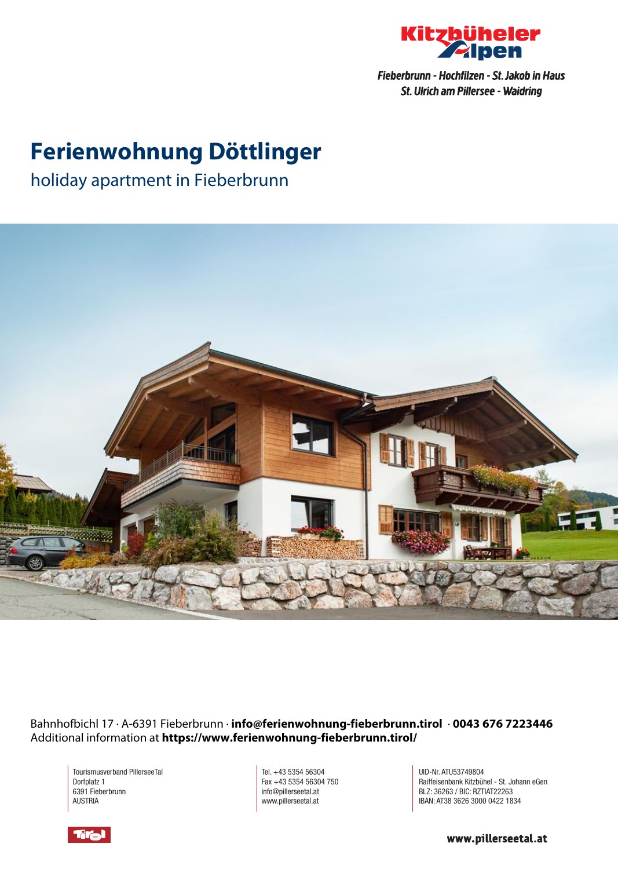

Fieberbrunn - Hochfilzen - St. Jakob in Haus St. Ulrich am Pillersee - Waidring

## **Ferienwohnung Döttlinger**

holiday apartment in Fieberbrunn



Bahnhofbichl 17 · A-6391 Fieberbrunn · **info@ferienwohnung-fieberbrunn.tirol** · **0043 676 7223446** Additional information at **https://www.ferienwohnung-fieberbrunn.tirol/**

Tourismusverband PillerseeTal Dorfplatz 1 6391 Fieberbrunn AUSTRIA

Tel. +43 5354 56304 Fax +43 5354 56304 750 info@pillerseetal.at www.pillerseetal.at

UID-Nr. ATU53749804 Raiffeisenbank Kitzbühel - St. Johann eGen BLZ: 36263 / BIC: RZTIAT22263 IBAN: AT38 3626 3000 0422 1834



www.pillerseetal.at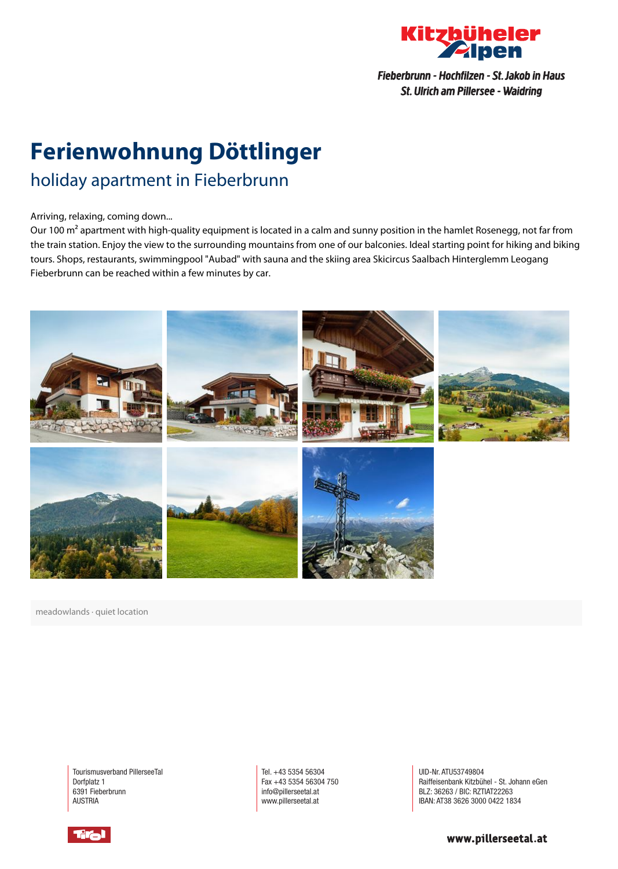

Fieberbrunn - Hochfilzen - St. Jakob in Haus St. Ulrich am Pillersee - Waidring

# **Ferienwohnung Döttlinger**

## holiday apartment in Fieberbrunn

#### Arriving, relaxing, coming down...

Our 100 m<sup>2</sup> apartment with high-quality equipment is located in a calm and sunny position in the hamlet Rosenegg, not far from the train station. Enjoy the view to the surrounding mountains from one of our balconies. Ideal starting point for hiking and biking tours. Shops, restaurants, swimmingpool "Aubad" with sauna and the skiing area Skicircus Saalbach Hinterglemm Leogang Fieberbrunn can be reached within <sup>a</sup> few minutes by car.



meadowlands · quiet location

Tourismusverband PillerseeTal Dorfplatz 1 6391 Fieberbrunn AUSTRIA

Tel. +43 5354 56304 Fax +43 5354 56304 750 info@pillerseetal.at www.pillerseetal.at

UID-Nr. ATU53749804 Raiffeisenbank Kitzbühel - St. Johann eGen BLZ: 36263 / BIC: RZTIAT22263 IBAN: AT38 3626 3000 0422 1834